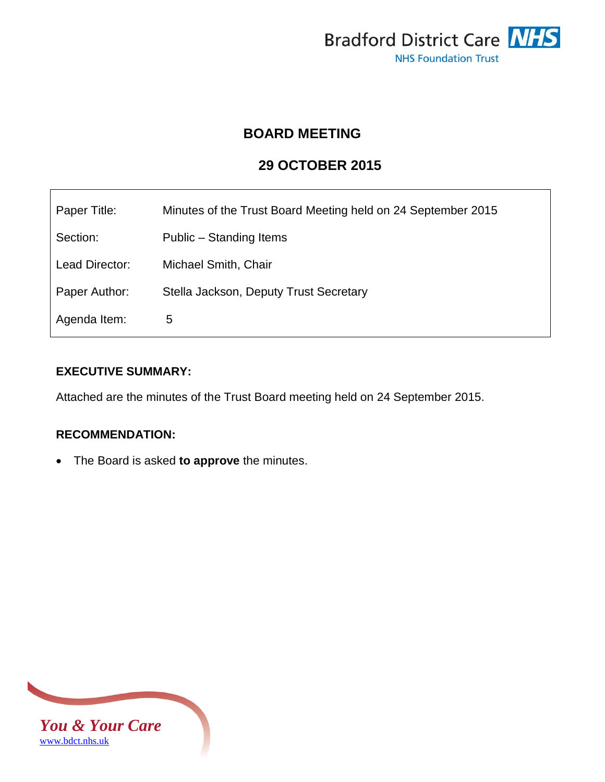

# **BOARD MEETING**

# **29 OCTOBER 2015**

| Paper Title:   | Minutes of the Trust Board Meeting held on 24 September 2015 |
|----------------|--------------------------------------------------------------|
| Section:       | Public – Standing Items                                      |
| Lead Director: | Michael Smith, Chair                                         |
| Paper Author:  | Stella Jackson, Deputy Trust Secretary                       |
| Agenda Item:   | 5                                                            |

# **EXECUTIVE SUMMARY:**

Attached are the minutes of the Trust Board meeting held on 24 September 2015.

# **RECOMMENDATION:**

The Board is asked **to approve** the minutes.

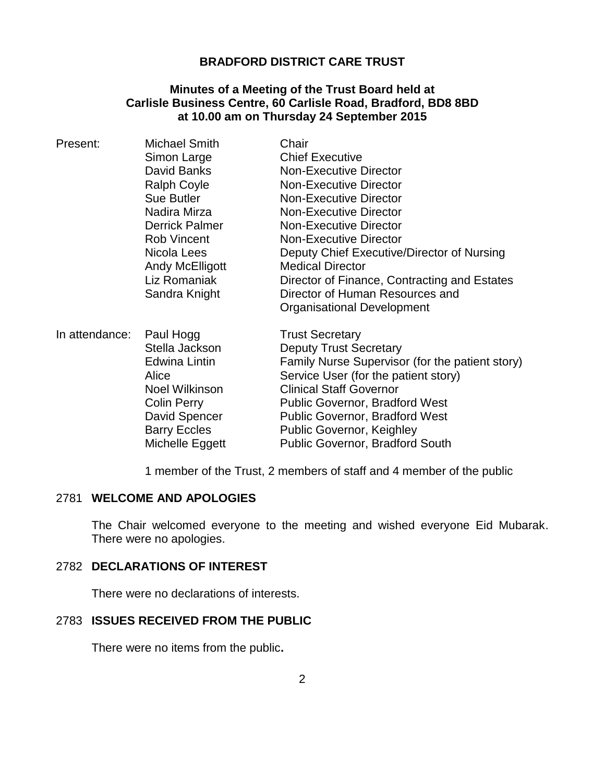# **BRADFORD DISTRICT CARE TRUST**

#### **Minutes of a Meeting of the Trust Board held at Carlisle Business Centre, 60 Carlisle Road, Bradford, BD8 8BD at 10.00 am on Thursday 24 September 2015**

| Present:       | Michael Smith         | Chair                                           |
|----------------|-----------------------|-------------------------------------------------|
|                | Simon Large           | <b>Chief Executive</b>                          |
|                | David Banks           | <b>Non-Executive Director</b>                   |
|                | Ralph Coyle           | <b>Non-Executive Director</b>                   |
|                | <b>Sue Butler</b>     | <b>Non-Executive Director</b>                   |
|                | Nadira Mirza          | <b>Non-Executive Director</b>                   |
|                | Derrick Palmer        | <b>Non-Executive Director</b>                   |
|                | <b>Rob Vincent</b>    | <b>Non-Executive Director</b>                   |
|                | Nicola Lees           | Deputy Chief Executive/Director of Nursing      |
|                | Andy McElligott       | <b>Medical Director</b>                         |
|                | Liz Romaniak          | Director of Finance, Contracting and Estates    |
|                | Sandra Knight         | Director of Human Resources and                 |
|                |                       | Organisational Development                      |
| In attendance: | Paul Hogg             | <b>Trust Secretary</b>                          |
|                | Stella Jackson        | <b>Deputy Trust Secretary</b>                   |
|                | Edwina Lintin         | Family Nurse Supervisor (for the patient story) |
|                | Alice                 | Service User (for the patient story)            |
|                | <b>Noel Wilkinson</b> | <b>Clinical Staff Governor</b>                  |
|                | <b>Colin Perry</b>    | <b>Public Governor, Bradford West</b>           |
|                | David Spencer         | <b>Public Governor, Bradford West</b>           |
|                | <b>Barry Eccles</b>   | <b>Public Governor, Keighley</b>                |
|                | Michelle Eggett       | <b>Public Governor, Bradford South</b>          |

1 member of the Trust, 2 members of staff and 4 member of the public

# 2781 **WELCOME AND APOLOGIES**

The Chair welcomed everyone to the meeting and wished everyone Eid Mubarak. There were no apologies.

# 2782 **DECLARATIONS OF INTEREST**

There were no declarations of interests.

# 2783 **ISSUES RECEIVED FROM THE PUBLIC**

There were no items from the public**.**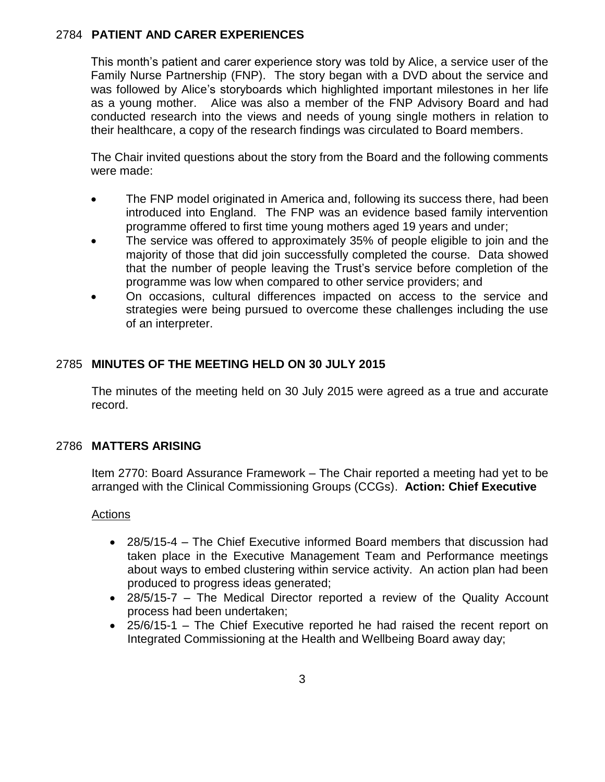# 2784 **PATIENT AND CARER EXPERIENCES**

This month's patient and carer experience story was told by Alice, a service user of the Family Nurse Partnership (FNP). The story began with a DVD about the service and was followed by Alice's storyboards which highlighted important milestones in her life as a young mother. Alice was also a member of the FNP Advisory Board and had conducted research into the views and needs of young single mothers in relation to their healthcare, a copy of the research findings was circulated to Board members.

The Chair invited questions about the story from the Board and the following comments were made:

- The FNP model originated in America and, following its success there, had been introduced into England. The FNP was an evidence based family intervention programme offered to first time young mothers aged 19 years and under;
- The service was offered to approximately 35% of people eligible to join and the majority of those that did join successfully completed the course. Data showed that the number of people leaving the Trust's service before completion of the programme was low when compared to other service providers; and
- On occasions, cultural differences impacted on access to the service and strategies were being pursued to overcome these challenges including the use of an interpreter.

# 2785 **MINUTES OF THE MEETING HELD ON 30 JULY 2015**

The minutes of the meeting held on 30 July 2015 were agreed as a true and accurate record.

# 2786 **MATTERS ARISING**

Item 2770: Board Assurance Framework – The Chair reported a meeting had yet to be arranged with the Clinical Commissioning Groups (CCGs). **Action: Chief Executive**

#### Actions

- 28/5/15-4 The Chief Executive informed Board members that discussion had taken place in the Executive Management Team and Performance meetings about ways to embed clustering within service activity. An action plan had been produced to progress ideas generated;
- 28/5/15-7 The Medical Director reported a review of the Quality Account process had been undertaken;
- 25/6/15-1 The Chief Executive reported he had raised the recent report on Integrated Commissioning at the Health and Wellbeing Board away day;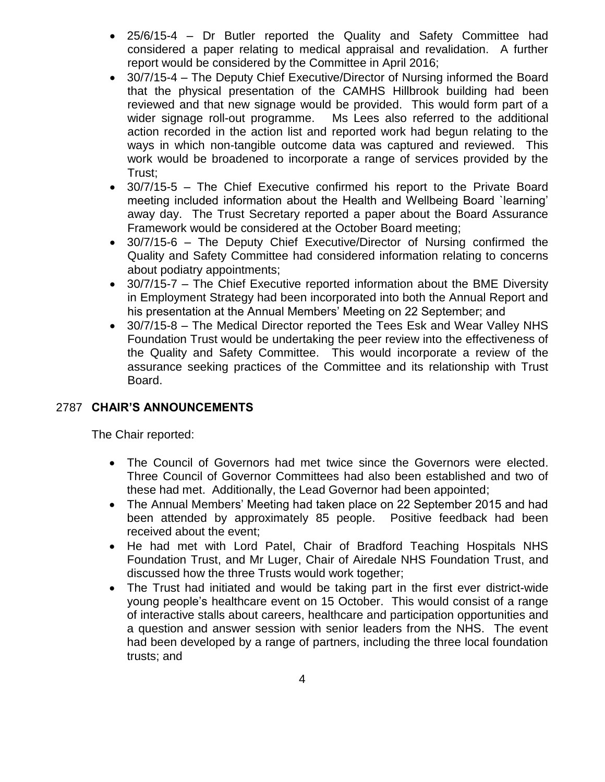- 25/6/15-4 Dr Butler reported the Quality and Safety Committee had considered a paper relating to medical appraisal and revalidation. A further report would be considered by the Committee in April 2016;
- 30/7/15-4 The Deputy Chief Executive/Director of Nursing informed the Board that the physical presentation of the CAMHS Hillbrook building had been reviewed and that new signage would be provided. This would form part of a wider signage roll-out programme. Ms Lees also referred to the additional action recorded in the action list and reported work had begun relating to the ways in which non-tangible outcome data was captured and reviewed. This work would be broadened to incorporate a range of services provided by the Trust;
- 30/7/15-5 The Chief Executive confirmed his report to the Private Board meeting included information about the Health and Wellbeing Board `learning' away day. The Trust Secretary reported a paper about the Board Assurance Framework would be considered at the October Board meeting;
- 30/7/15-6 The Deputy Chief Executive/Director of Nursing confirmed the Quality and Safety Committee had considered information relating to concerns about podiatry appointments;
- 30/7/15-7 The Chief Executive reported information about the BME Diversity in Employment Strategy had been incorporated into both the Annual Report and his presentation at the Annual Members' Meeting on 22 September; and
- 30/7/15-8 The Medical Director reported the Tees Esk and Wear Valley NHS Foundation Trust would be undertaking the peer review into the effectiveness of the Quality and Safety Committee. This would incorporate a review of the assurance seeking practices of the Committee and its relationship with Trust Board.

# 2787 **CHAIR'S ANNOUNCEMENTS**

The Chair reported:

- The Council of Governors had met twice since the Governors were elected. Three Council of Governor Committees had also been established and two of these had met. Additionally, the Lead Governor had been appointed;
- The Annual Members' Meeting had taken place on 22 September 2015 and had been attended by approximately 85 people. Positive feedback had been received about the event;
- He had met with Lord Patel, Chair of Bradford Teaching Hospitals NHS Foundation Trust, and Mr Luger, Chair of Airedale NHS Foundation Trust, and discussed how the three Trusts would work together;
- The Trust had initiated and would be taking part in the first ever district-wide young people's healthcare event on 15 October. This would consist of a range of interactive stalls about careers, healthcare and participation opportunities and a question and answer session with senior leaders from the NHS. The event had been developed by a range of partners, including the three local foundation trusts; and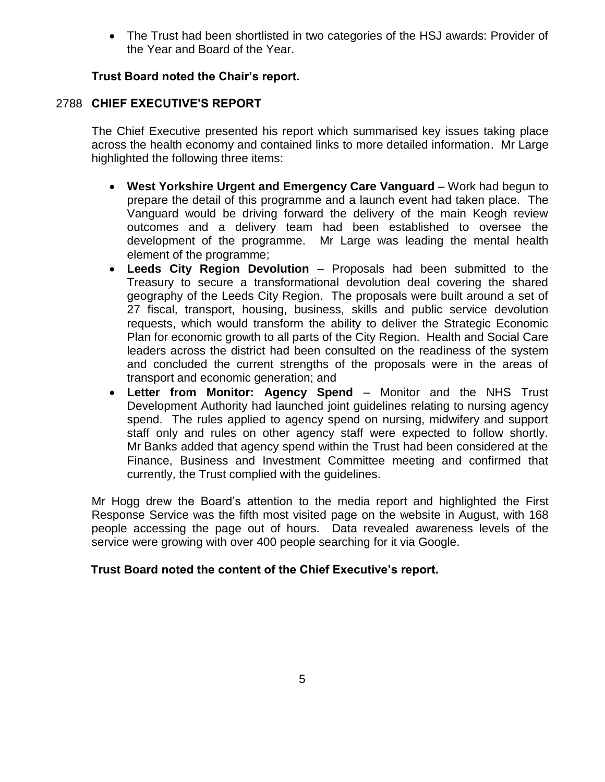The Trust had been shortlisted in two categories of the HSJ awards: Provider of the Year and Board of the Year.

# **Trust Board noted the Chair's report.**

# 2788 **CHIEF EXECUTIVE'S REPORT**

The Chief Executive presented his report which summarised key issues taking place across the health economy and contained links to more detailed information. Mr Large highlighted the following three items:

- **West Yorkshire Urgent and Emergency Care Vanguard** Work had begun to prepare the detail of this programme and a launch event had taken place. The Vanguard would be driving forward the delivery of the main Keogh review outcomes and a delivery team had been established to oversee the development of the programme. Mr Large was leading the mental health element of the programme;
- **Leeds City Region Devolution** Proposals had been submitted to the Treasury to secure a transformational devolution deal covering the shared geography of the Leeds City Region. The proposals were built around a set of 27 fiscal, transport, housing, business, skills and public service devolution requests, which would transform the ability to deliver the Strategic Economic Plan for economic growth to all parts of the City Region. Health and Social Care leaders across the district had been consulted on the readiness of the system and concluded the current strengths of the proposals were in the areas of transport and economic generation; and
- **Letter from Monitor: Agency Spend** Monitor and the NHS Trust Development Authority had launched joint guidelines relating to nursing agency spend. The rules applied to agency spend on nursing, midwifery and support staff only and rules on other agency staff were expected to follow shortly. Mr Banks added that agency spend within the Trust had been considered at the Finance, Business and Investment Committee meeting and confirmed that currently, the Trust complied with the guidelines.

Mr Hogg drew the Board's attention to the media report and highlighted the First Response Service was the fifth most visited page on the website in August, with 168 people accessing the page out of hours. Data revealed awareness levels of the service were growing with over 400 people searching for it via Google.

# **Trust Board noted the content of the Chief Executive's report.**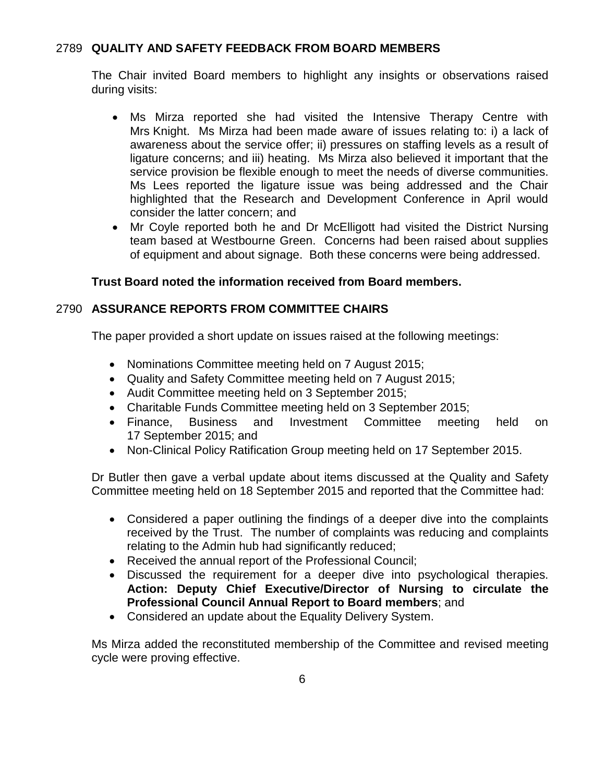# 2789 **QUALITY AND SAFETY FEEDBACK FROM BOARD MEMBERS**

The Chair invited Board members to highlight any insights or observations raised during visits:

- Ms Mirza reported she had visited the Intensive Therapy Centre with Mrs Knight. Ms Mirza had been made aware of issues relating to: i) a lack of awareness about the service offer; ii) pressures on staffing levels as a result of ligature concerns; and iii) heating. Ms Mirza also believed it important that the service provision be flexible enough to meet the needs of diverse communities. Ms Lees reported the ligature issue was being addressed and the Chair highlighted that the Research and Development Conference in April would consider the latter concern; and
- Mr Coyle reported both he and Dr McElligott had visited the District Nursing team based at Westbourne Green. Concerns had been raised about supplies of equipment and about signage. Both these concerns were being addressed.

# **Trust Board noted the information received from Board members.**

# 2790 **ASSURANCE REPORTS FROM COMMITTEE CHAIRS**

The paper provided a short update on issues raised at the following meetings:

- Nominations Committee meeting held on 7 August 2015;
- Quality and Safety Committee meeting held on 7 August 2015;
- Audit Committee meeting held on 3 September 2015;
- Charitable Funds Committee meeting held on 3 September 2015;
- Finance, Business and Investment Committee meeting held on 17 September 2015; and
- Non-Clinical Policy Ratification Group meeting held on 17 September 2015.

Dr Butler then gave a verbal update about items discussed at the Quality and Safety Committee meeting held on 18 September 2015 and reported that the Committee had:

- Considered a paper outlining the findings of a deeper dive into the complaints received by the Trust. The number of complaints was reducing and complaints relating to the Admin hub had significantly reduced;
- Received the annual report of the Professional Council;
- Discussed the requirement for a deeper dive into psychological therapies. **Action: Deputy Chief Executive/Director of Nursing to circulate the Professional Council Annual Report to Board members**; and
- Considered an update about the Equality Delivery System.

Ms Mirza added the reconstituted membership of the Committee and revised meeting cycle were proving effective.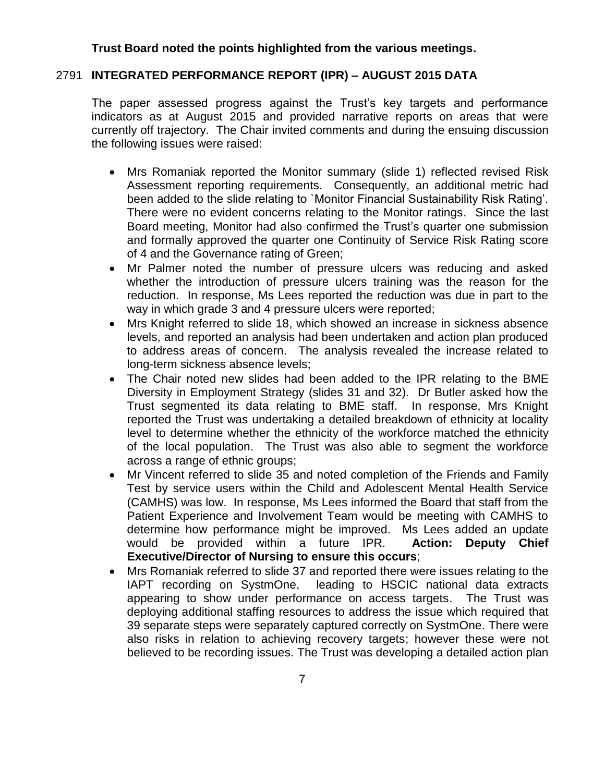#### **Trust Board noted the points highlighted from the various meetings.**

### 2791 **INTEGRATED PERFORMANCE REPORT (IPR) – AUGUST 2015 DATA**

The paper assessed progress against the Trust's key targets and performance indicators as at August 2015 and provided narrative reports on areas that were currently off trajectory. The Chair invited comments and during the ensuing discussion the following issues were raised:

- Mrs Romaniak reported the Monitor summary (slide 1) reflected revised Risk Assessment reporting requirements. Consequently, an additional metric had been added to the slide relating to `Monitor Financial Sustainability Risk Rating'. There were no evident concerns relating to the Monitor ratings. Since the last Board meeting, Monitor had also confirmed the Trust's quarter one submission and formally approved the quarter one Continuity of Service Risk Rating score of 4 and the Governance rating of Green;
- Mr Palmer noted the number of pressure ulcers was reducing and asked whether the introduction of pressure ulcers training was the reason for the reduction. In response, Ms Lees reported the reduction was due in part to the way in which grade 3 and 4 pressure ulcers were reported;
- Mrs Knight referred to slide 18, which showed an increase in sickness absence levels, and reported an analysis had been undertaken and action plan produced to address areas of concern. The analysis revealed the increase related to long-term sickness absence levels;
- The Chair noted new slides had been added to the IPR relating to the BME Diversity in Employment Strategy (slides 31 and 32). Dr Butler asked how the Trust segmented its data relating to BME staff. In response, Mrs Knight reported the Trust was undertaking a detailed breakdown of ethnicity at locality level to determine whether the ethnicity of the workforce matched the ethnicity of the local population. The Trust was also able to segment the workforce across a range of ethnic groups;
- Mr Vincent referred to slide 35 and noted completion of the Friends and Family Test by service users within the Child and Adolescent Mental Health Service (CAMHS) was low. In response, Ms Lees informed the Board that staff from the Patient Experience and Involvement Team would be meeting with CAMHS to determine how performance might be improved. Ms Lees added an update would be provided within a future IPR. **Action: Deputy Chief Executive/Director of Nursing to ensure this occurs**;
- Mrs Romaniak referred to slide 37 and reported there were issues relating to the IAPT recording on SystmOne, leading to HSCIC national data extracts appearing to show under performance on access targets. The Trust was deploying additional staffing resources to address the issue which required that 39 separate steps were separately captured correctly on SystmOne. There were also risks in relation to achieving recovery targets; however these were not believed to be recording issues. The Trust was developing a detailed action plan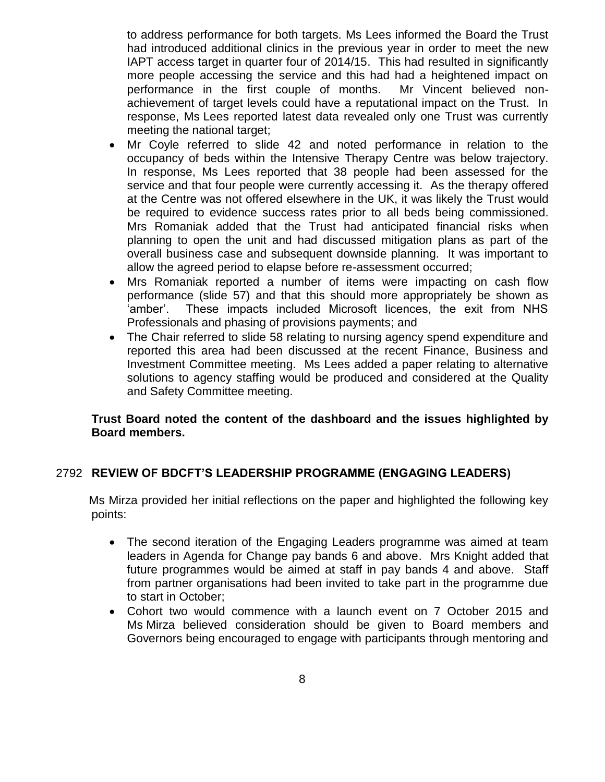to address performance for both targets. Ms Lees informed the Board the Trust had introduced additional clinics in the previous year in order to meet the new IAPT access target in quarter four of 2014/15. This had resulted in significantly more people accessing the service and this had had a heightened impact on performance in the first couple of months. Mr Vincent believed nonachievement of target levels could have a reputational impact on the Trust. In response, Ms Lees reported latest data revealed only one Trust was currently meeting the national target;

- Mr Coyle referred to slide 42 and noted performance in relation to the occupancy of beds within the Intensive Therapy Centre was below trajectory. In response, Ms Lees reported that 38 people had been assessed for the service and that four people were currently accessing it. As the therapy offered at the Centre was not offered elsewhere in the UK, it was likely the Trust would be required to evidence success rates prior to all beds being commissioned. Mrs Romaniak added that the Trust had anticipated financial risks when planning to open the unit and had discussed mitigation plans as part of the overall business case and subsequent downside planning. It was important to allow the agreed period to elapse before re-assessment occurred;
- Mrs Romaniak reported a number of items were impacting on cash flow performance (slide 57) and that this should more appropriately be shown as 'amber'. These impacts included Microsoft licences, the exit from NHS Professionals and phasing of provisions payments; and
- The Chair referred to slide 58 relating to nursing agency spend expenditure and reported this area had been discussed at the recent Finance, Business and Investment Committee meeting. Ms Lees added a paper relating to alternative solutions to agency staffing would be produced and considered at the Quality and Safety Committee meeting.

# **Trust Board noted the content of the dashboard and the issues highlighted by Board members.**

# 2792 **REVIEW OF BDCFT'S LEADERSHIP PROGRAMME (ENGAGING LEADERS)**

 Ms Mirza provided her initial reflections on the paper and highlighted the following key points:

- The second iteration of the Engaging Leaders programme was aimed at team leaders in Agenda for Change pay bands 6 and above. Mrs Knight added that future programmes would be aimed at staff in pay bands 4 and above. Staff from partner organisations had been invited to take part in the programme due to start in October;
- Cohort two would commence with a launch event on 7 October 2015 and Ms Mirza believed consideration should be given to Board members and Governors being encouraged to engage with participants through mentoring and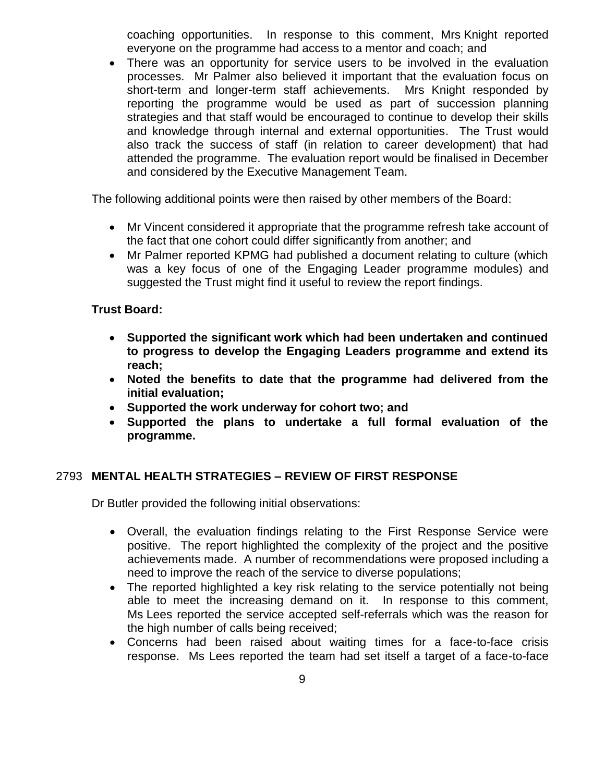coaching opportunities. In response to this comment, Mrs Knight reported everyone on the programme had access to a mentor and coach; and

 There was an opportunity for service users to be involved in the evaluation processes. Mr Palmer also believed it important that the evaluation focus on short-term and longer-term staff achievements. Mrs Knight responded by reporting the programme would be used as part of succession planning strategies and that staff would be encouraged to continue to develop their skills and knowledge through internal and external opportunities. The Trust would also track the success of staff (in relation to career development) that had attended the programme. The evaluation report would be finalised in December and considered by the Executive Management Team.

The following additional points were then raised by other members of the Board:

- Mr Vincent considered it appropriate that the programme refresh take account of the fact that one cohort could differ significantly from another; and
- Mr Palmer reported KPMG had published a document relating to culture (which was a key focus of one of the Engaging Leader programme modules) and suggested the Trust might find it useful to review the report findings.

# **Trust Board:**

- **Supported the significant work which had been undertaken and continued to progress to develop the Engaging Leaders programme and extend its reach;**
- **Noted the benefits to date that the programme had delivered from the initial evaluation;**
- **Supported the work underway for cohort two; and**
- **Supported the plans to undertake a full formal evaluation of the programme.**

# 2793 **MENTAL HEALTH STRATEGIES – REVIEW OF FIRST RESPONSE**

Dr Butler provided the following initial observations:

- Overall, the evaluation findings relating to the First Response Service were positive. The report highlighted the complexity of the project and the positive achievements made. A number of recommendations were proposed including a need to improve the reach of the service to diverse populations;
- The reported highlighted a key risk relating to the service potentially not being able to meet the increasing demand on it. In response to this comment, Ms Lees reported the service accepted self-referrals which was the reason for the high number of calls being received;
- Concerns had been raised about waiting times for a face-to-face crisis response. Ms Lees reported the team had set itself a target of a face-to-face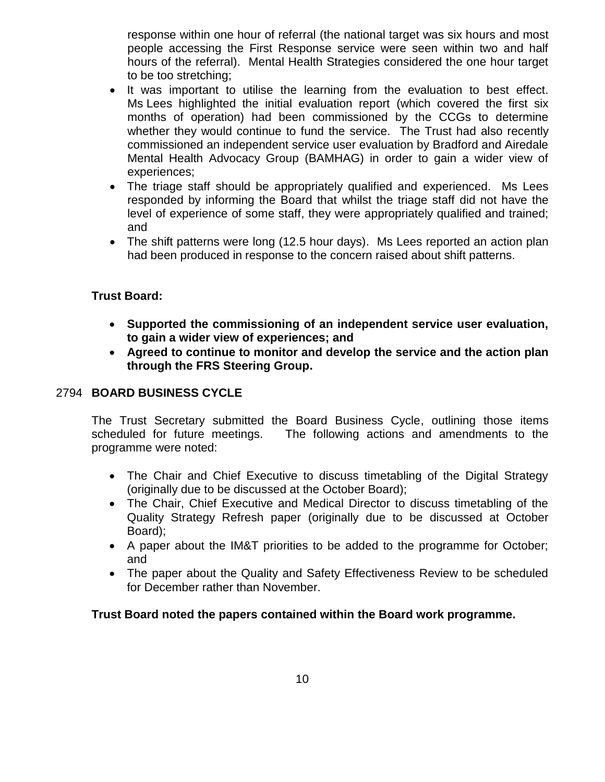response within one hour of referral (the national target was six hours and most people accessing the First Response service were seen within two and half hours of the referral). Mental Health Strategies considered the one hour target to be too stretching;

- It was important to utilise the learning from the evaluation to best effect. Ms Lees highlighted the initial evaluation report (which covered the first six months of operation) had been commissioned by the CCGs to determine whether they would continue to fund the service. The Trust had also recently commissioned an independent service user evaluation by Bradford and Airedale Mental Health Advocacy Group (BAMHAG) in order to gain a wider view of experiences;
- The triage staff should be appropriately qualified and experienced. Ms Lees responded by informing the Board that whilst the triage staff did not have the level of experience of some staff, they were appropriately qualified and trained; and
- The shift patterns were long (12.5 hour days). Ms Lees reported an action plan had been produced in response to the concern raised about shift patterns.

# **Trust Board:**

- **Supported the commissioning of an independent service user evaluation, to gain a wider view of experiences; and**
- **Agreed to continue to monitor and develop the service and the action plan through the FRS Steering Group.**

# 2794 **BOARD BUSINESS CYCLE**

The Trust Secretary submitted the Board Business Cycle, outlining those items scheduled for future meetings. The following actions and amendments to the programme were noted:

- The Chair and Chief Executive to discuss timetabling of the Digital Strategy (originally due to be discussed at the October Board);
- The Chair, Chief Executive and Medical Director to discuss timetabling of the Quality Strategy Refresh paper (originally due to be discussed at October Board);
- A paper about the IM&T priorities to be added to the programme for October; and
- The paper about the Quality and Safety Effectiveness Review to be scheduled for December rather than November.

# **Trust Board noted the papers contained within the Board work programme.**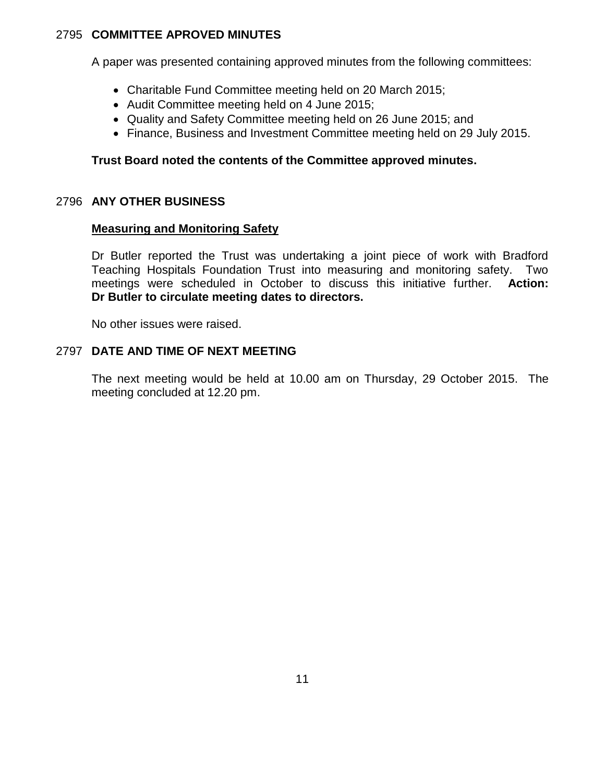### 2795 **COMMITTEE APROVED MINUTES**

A paper was presented containing approved minutes from the following committees:

- Charitable Fund Committee meeting held on 20 March 2015;
- Audit Committee meeting held on 4 June 2015;
- Quality and Safety Committee meeting held on 26 June 2015; and
- Finance, Business and Investment Committee meeting held on 29 July 2015.

### **Trust Board noted the contents of the Committee approved minutes.**

#### 2796 **ANY OTHER BUSINESS**

#### **Measuring and Monitoring Safety**

Dr Butler reported the Trust was undertaking a joint piece of work with Bradford Teaching Hospitals Foundation Trust into measuring and monitoring safety. Two meetings were scheduled in October to discuss this initiative further. **Action: Dr Butler to circulate meeting dates to directors.**

No other issues were raised.

#### 2797 **DATE AND TIME OF NEXT MEETING**

The next meeting would be held at 10.00 am on Thursday, 29 October 2015. The meeting concluded at 12.20 pm.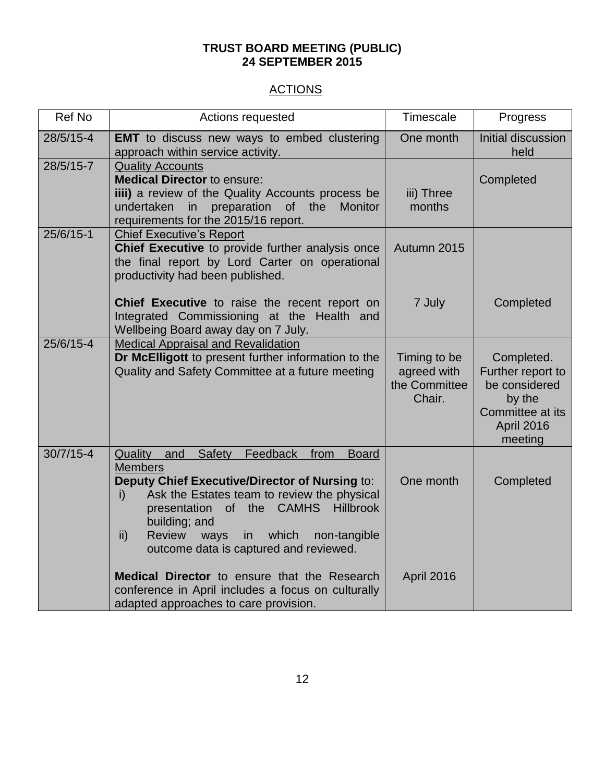#### **TRUST BOARD MEETING (PUBLIC) 24 SEPTEMBER 2015**

# **ACTIONS**

| Ref No        | Actions requested                                                                                                                                                                                                                                                                                                                                                                                                                           | Timescale                                              | Progress                                                                                                |
|---------------|---------------------------------------------------------------------------------------------------------------------------------------------------------------------------------------------------------------------------------------------------------------------------------------------------------------------------------------------------------------------------------------------------------------------------------------------|--------------------------------------------------------|---------------------------------------------------------------------------------------------------------|
| $28/5/15-4$   | <b>EMT</b> to discuss new ways to embed clustering<br>approach within service activity.                                                                                                                                                                                                                                                                                                                                                     | One month                                              | Initial discussion<br>held                                                                              |
| 28/5/15-7     | <b>Quality Accounts</b><br><b>Medical Director to ensure:</b><br>iiii) a review of the Quality Accounts process be<br>preparation of the<br>undertaken<br>in<br><b>Monitor</b><br>requirements for the 2015/16 report.                                                                                                                                                                                                                      | iii) Three<br>months                                   | Completed                                                                                               |
| $25/6/15-1$   | <b>Chief Executive's Report</b><br>Chief Executive to provide further analysis once<br>the final report by Lord Carter on operational<br>productivity had been published.                                                                                                                                                                                                                                                                   | Autumn 2015                                            |                                                                                                         |
|               | <b>Chief Executive</b> to raise the recent report on<br>Integrated Commissioning at the Health and<br>Wellbeing Board away day on 7 July.                                                                                                                                                                                                                                                                                                   | 7 July                                                 | Completed                                                                                               |
| 25/6/15-4     | <b>Medical Appraisal and Revalidation</b><br>Dr McElligott to present further information to the<br>Quality and Safety Committee at a future meeting                                                                                                                                                                                                                                                                                        | Timing to be<br>agreed with<br>the Committee<br>Chair. | Completed.<br>Further report to<br>be considered<br>by the<br>Committee at its<br>April 2016<br>meeting |
| $30/7/15 - 4$ | Quality<br>and<br>Safety<br>Feedback<br><b>Board</b><br>from<br><b>Members</b><br>Deputy Chief Executive/Director of Nursing to:<br>Ask the Estates team to review the physical<br>$\mathsf{i}$<br>presentation of the CAMHS<br><b>Hillbrook</b><br>building; and<br>$\mathsf{ii}$<br><b>Review</b><br>ways<br>in<br>which<br>non-tangible<br>outcome data is captured and reviewed.<br><b>Medical Director</b> to ensure that the Research | One month                                              | Completed                                                                                               |
|               | conference in April includes a focus on culturally<br>adapted approaches to care provision.                                                                                                                                                                                                                                                                                                                                                 | <b>April 2016</b>                                      |                                                                                                         |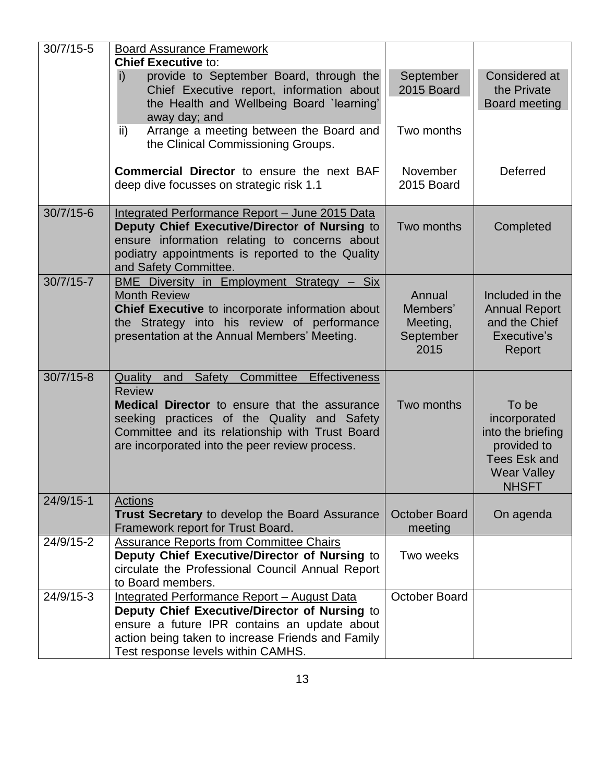| $30/7/15 - 5$ | <b>Board Assurance Framework</b>                                                                                                                                                                                                                                               |                                                     |                                                                                                                 |
|---------------|--------------------------------------------------------------------------------------------------------------------------------------------------------------------------------------------------------------------------------------------------------------------------------|-----------------------------------------------------|-----------------------------------------------------------------------------------------------------------------|
|               | <b>Chief Executive to:</b><br>provide to September Board, through the<br>i)<br>Chief Executive report, information about<br>the Health and Wellbeing Board `learning'<br>away day; and<br>Arrange a meeting between the Board and<br>ii)<br>the Clinical Commissioning Groups. | September<br>2015 Board<br>Two months               | Considered at<br>the Private<br>Board meeting                                                                   |
|               | Commercial Director to ensure the next BAF<br>deep dive focusses on strategic risk 1.1                                                                                                                                                                                         | November<br>2015 Board                              | <b>Deferred</b>                                                                                                 |
| $30/7/15 - 6$ | Integrated Performance Report - June 2015 Data<br>Deputy Chief Executive/Director of Nursing to<br>ensure information relating to concerns about<br>podiatry appointments is reported to the Quality<br>and Safety Committee.                                                  | Two months                                          | Completed                                                                                                       |
| $30/7/15 - 7$ | <b>BME Diversity in Employment Strategy - Six</b><br><b>Month Review</b><br>Chief Executive to incorporate information about<br>the Strategy into his review of performance<br>presentation at the Annual Members' Meeting.                                                    | Annual<br>Members'<br>Meeting,<br>September<br>2015 | Included in the<br><b>Annual Report</b><br>and the Chief<br>Executive's<br>Report                               |
| $30/7/15 - 8$ | Committee Effectiveness<br>Quality and Safety<br><b>Review</b><br><b>Medical Director</b> to ensure that the assurance<br>seeking practices of the Quality and Safety<br>Committee and its relationship with Trust Board<br>are incorporated into the peer review process.     | Two months                                          | To be<br>incorporated<br>into the briefing<br>provided to<br>Tees Esk and<br><b>Wear Valley</b><br><b>NHSFT</b> |
| $24/9/15 - 1$ | <b>Actions</b><br>Trust Secretary to develop the Board Assurance<br>Framework report for Trust Board.                                                                                                                                                                          | <b>October Board</b><br>meeting                     | On agenda                                                                                                       |
| 24/9/15-2     | <b>Assurance Reports from Committee Chairs</b><br>Deputy Chief Executive/Director of Nursing to<br>circulate the Professional Council Annual Report<br>to Board members.                                                                                                       | Two weeks                                           |                                                                                                                 |
| $24/9/15-3$   | <b>Integrated Performance Report - August Data</b><br>Deputy Chief Executive/Director of Nursing to<br>ensure a future IPR contains an update about<br>action being taken to increase Friends and Family<br>Test response levels within CAMHS.                                 | October Board                                       |                                                                                                                 |